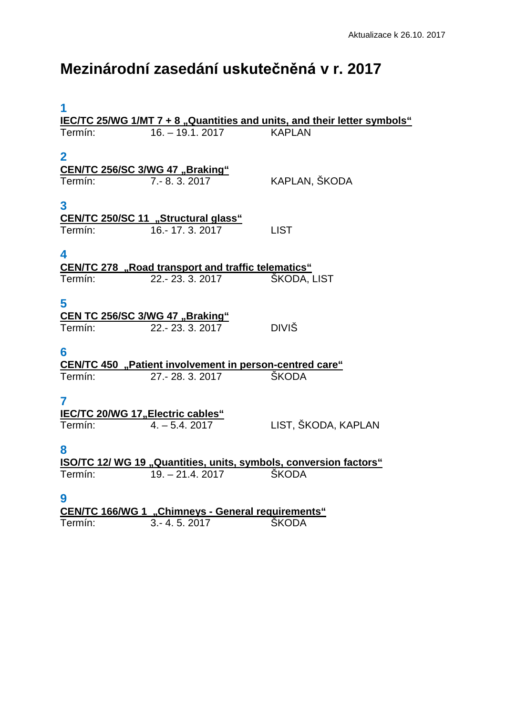## **Mezinárodní zasedání uskutečněná v r. 2017**

| 1                                                                        |                                                                |                     |  |
|--------------------------------------------------------------------------|----------------------------------------------------------------|---------------------|--|
| IEC/TC 25/WG 1/MT 7 + 8 "Quantities and units, and their letter symbols" |                                                                |                     |  |
| Termín:                                                                  | $16. - 19.1, 2017$                                             | <b>KAPLAN</b>       |  |
|                                                                          |                                                                |                     |  |
| $\mathbf 2$                                                              |                                                                |                     |  |
| CEN/TC 256/SC 3/WG 47 "Braking"                                          |                                                                |                     |  |
| Termín:                                                                  | 7. - 8. 3. 2017                                                | KAPLAN, ŠKODA       |  |
|                                                                          |                                                                |                     |  |
|                                                                          |                                                                |                     |  |
| 3                                                                        |                                                                |                     |  |
|                                                                          | CEN/TC 250/SC 11 "Structural glass"                            |                     |  |
| Termín:                                                                  | 16.-17.3.2017                                                  | <b>LIST</b>         |  |
|                                                                          |                                                                |                     |  |
| 4                                                                        |                                                                |                     |  |
| <b>CEN/TC 278</b> "Road transport and traffic telematics"                |                                                                |                     |  |
| Termín:                                                                  | 22 .- 23 .3 .2017                                              | ŠKODA, LIST         |  |
|                                                                          |                                                                |                     |  |
| 5                                                                        |                                                                |                     |  |
| CEN TC 256/SC 3/WG 47 "Braking"                                          |                                                                |                     |  |
| Termín:                                                                  | 22.-23.3.2017                                                  | <b>DIVIŠ</b>        |  |
|                                                                          |                                                                |                     |  |
| 6                                                                        |                                                                |                     |  |
|                                                                          |                                                                |                     |  |
|                                                                          | <b>CEN/TC 450</b> "Patient involvement in person-centred care" |                     |  |
| Termín:                                                                  | 27. - 28. 3. 2017                                              | <b>ŠKODA</b>        |  |
|                                                                          |                                                                |                     |  |
| 7                                                                        |                                                                |                     |  |
| <b>IEC/TC 20/WG 17, Electric cables"</b>                                 |                                                                |                     |  |
| Termín:                                                                  | $4. - 5.4.2017$                                                | LIST, ŠKODA, KAPLAN |  |
|                                                                          |                                                                |                     |  |
| 8                                                                        |                                                                |                     |  |
| <b>ISO/TC 12/ WG 19 "Quantities, units, symbols, conversion factors"</b> |                                                                |                     |  |
| Termín:                                                                  | $19. - 21.4.2017$                                              | <b>ŠKODA</b>        |  |
|                                                                          |                                                                |                     |  |
| 9                                                                        |                                                                |                     |  |
| <b>CEN/TC 166/WG 1 "Chimneys - General requirements"</b>                 |                                                                |                     |  |
| Termín:                                                                  | $3 - 4.5.2017$                                                 | <b>ŠKODA</b>        |  |
|                                                                          |                                                                |                     |  |